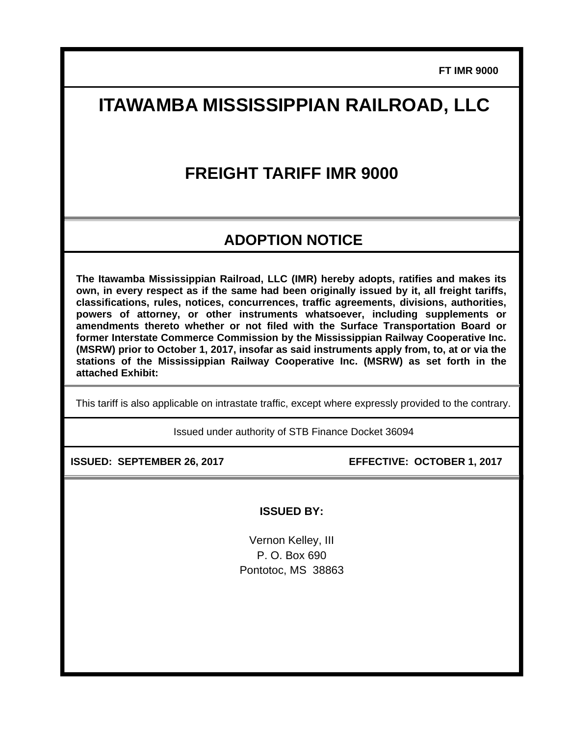**FT IMR 9000**

# **ITAWAMBA MISSISSIPPIAN RAILROAD, LLC**

## **FREIGHT TARIFF IMR 9000**

### **ADOPTION NOTICE**

**The Itawamba Mississippian Railroad, LLC (IMR) hereby adopts, ratifies and makes its own, in every respect as if the same had been originally issued by it, all freight tariffs, classifications, rules, notices, concurrences, traffic agreements, divisions, authorities, powers of attorney, or other instruments whatsoever, including supplements or amendments thereto whether or not filed with the Surface Transportation Board or former Interstate Commerce Commission by the Mississippian Railway Cooperative Inc. (MSRW) prior to October 1, 2017, insofar as said instruments apply from, to, at or via the stations of the Mississippian Railway Cooperative Inc. (MSRW) as set forth in the attached Exhibit:** 

This tariff is also applicable on intrastate traffic, except where expressly provided to the contrary.

Issued under authority of STB Finance Docket 36094

**ISSUED: SEPTEMBER 26, 2017 EFFECTIVE: OCTOBER 1, 2017** 

**ISSUED BY:** 

Vernon Kelley, III P. O. Box 690 Pontotoc, MS 38863